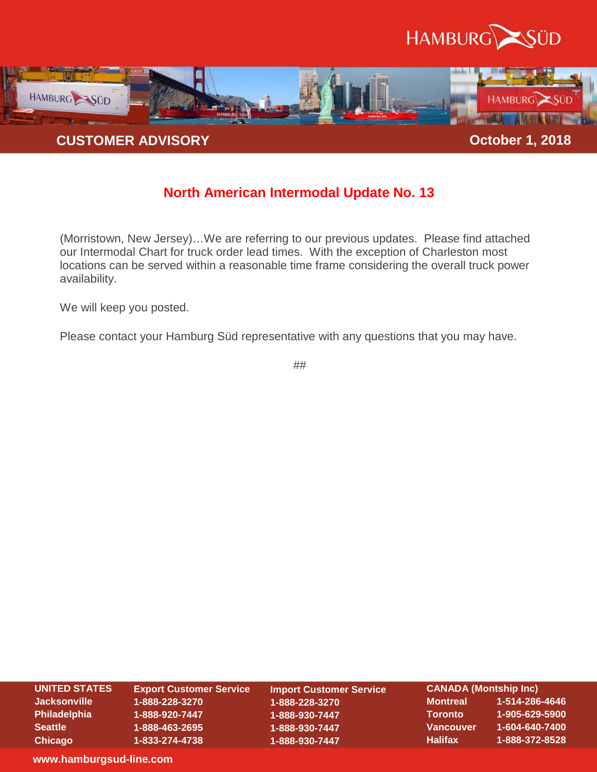



## **North American Intermodal Update No. 13**

(Morristown, New Jersey)…We are referring to our previous updates. Please find attached our Intermodal Chart for truck order lead times. With the exception of Charleston most locations can be served within a reasonable time frame considering the overall truck power availability.

We will keep you posted.

Please contact your Hamburg Süd representative with any questions that you may have.

##

| <b>UNITED STATES</b><br><b>CANADA (Montship Inc)</b><br><b>Export Customer Service</b><br><b>Import Customer Service</b> |  |  |
|--------------------------------------------------------------------------------------------------------------------------|--|--|
|                                                                                                                          |  |  |
| <b>Jacksonville</b><br>1-514-286-4646<br><b>Montreal</b><br>1-888-228-3270<br>1-888-228-3270                             |  |  |
| 1-905-629-5900<br>Philadelphia<br>Toronto<br>1-888-920-7447<br>1-888-930-7447                                            |  |  |
| 1-604-640-7400<br><b>Vancouver</b><br><b>Seattle</b><br>1-888-463-2695<br>1-888-930-7447                                 |  |  |
| 1-888-372-8528<br><b>Halifax</b><br>Chicago<br>1-888-930-7447<br>1-833-274-4738                                          |  |  |

**www.hamburgsud-line.com**